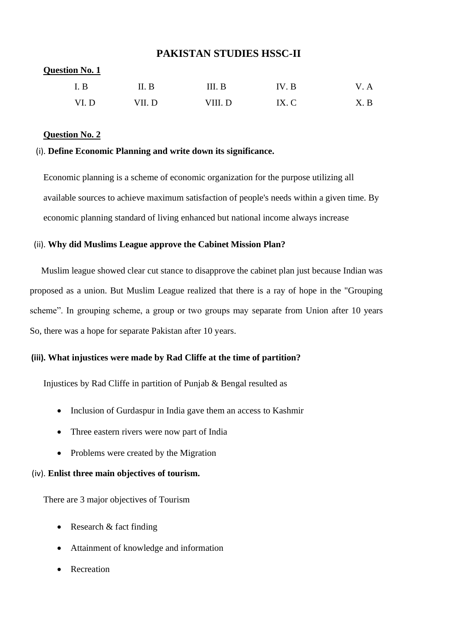# **PAKISTAN STUDIES HSSC-II**

# **Question No. 1** I. B II. B III. B IV. B V. A VI. D VII. D VIII. D IX. C X. B

## **Question No. 2**

## (i). **Define Economic Planning and write down its significance.**

Economic planning is a scheme of economic organization for the purpose utilizing all available sources to achieve maximum satisfaction of people's needs within a given time. By economic planning standard of living enhanced but national income always increase

## (ii). **Why did Muslims League approve the Cabinet Mission Plan?**

 Muslim league showed clear cut stance to disapprove the cabinet plan just because Indian was proposed as a union. But Muslim League realized that there is a ray of hope in the "Grouping scheme". In grouping scheme, a group or two groups may separate from Union after 10 years So, there was a hope for separate Pakistan after 10 years.

## **(iii). What injustices were made by Rad Cliffe at the time of partition?**

Injustices by Rad Cliffe in partition of Punjab & Bengal resulted as

- Inclusion of Gurdaspur in India gave them an access to Kashmir
- Three eastern rivers were now part of India
- Problems were created by the Migration

#### (iv). **Enlist three main objectives of tourism.**

There are 3 major objectives of Tourism

- Research & fact finding
- Attainment of knowledge and information
- Recreation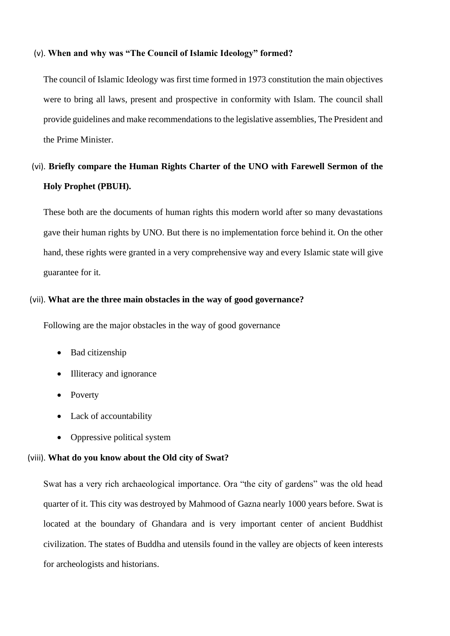#### (v). **When and why was "The Council of Islamic Ideology" formed?**

The council of Islamic Ideology was first time formed in 1973 constitution the main objectives were to bring all laws, present and prospective in conformity with Islam. The council shall provide guidelines and make recommendations to the legislative assemblies, The President and the Prime Minister.

# (vi). **Briefly compare the Human Rights Charter of the UNO with Farewell Sermon of the Holy Prophet (PBUH).**

These both are the documents of human rights this modern world after so many devastations gave their human rights by UNO. But there is no implementation force behind it. On the other hand, these rights were granted in a very comprehensive way and every Islamic state will give guarantee for it.

## (vii). **What are the three main obstacles in the way of good governance?**

Following are the major obstacles in the way of good governance

- Bad citizenship
- Illiteracy and ignorance
- Poverty
- Lack of accountability
- Oppressive political system

#### (viii). **What do you know about the Old city of Swat?**

Swat has a very rich archaeological importance. Ora "the city of gardens" was the old head quarter of it. This city was destroyed by Mahmood of Gazna nearly 1000 years before. Swat is located at the boundary of Ghandara and is very important center of ancient Buddhist civilization. The states of Buddha and utensils found in the valley are objects of keen interests for archeologists and historians.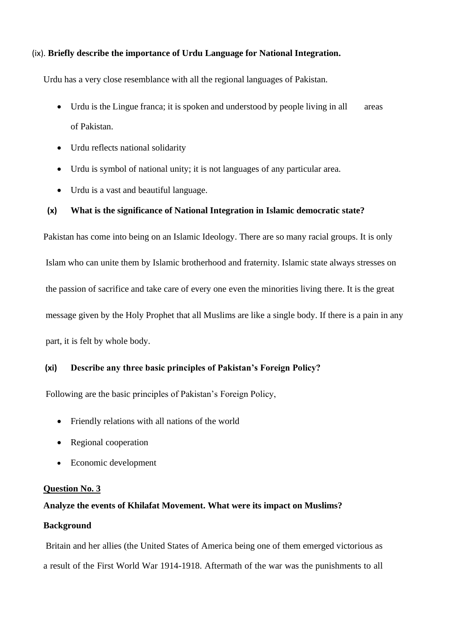## (ix). **Briefly describe the importance of Urdu Language for National Integration.**

Urdu has a very close resemblance with all the regional languages of Pakistan.

- Urdu is the Lingue franca; it is spoken and understood by people living in all areas of Pakistan.
- Urdu reflects national solidarity
- Urdu is symbol of national unity; it is not languages of any particular area.
- Urdu is a vast and beautiful language.

## **(x) What is the significance of National Integration in Islamic democratic state?**

Pakistan has come into being on an Islamic Ideology. There are so many racial groups. It is only Islam who can unite them by Islamic brotherhood and fraternity. Islamic state always stresses on the passion of sacrifice and take care of every one even the minorities living there. It is the great message given by the Holy Prophet that all Muslims are like a single body. If there is a pain in any part, it is felt by whole body.

# **(xi) Describe any three basic principles of Pakistan's Foreign Policy?**

Following are the basic principles of Pakistan's Foreign Policy,

- Friendly relations with all nations of the world
- Regional cooperation
- Economic development

#### **Question No. 3**

#### **Analyze the events of Khilafat Movement. What were its impact on Muslims?**

## **Background**

Britain and her allies (the United States of America being one of them emerged victorious as a result of the First World War 1914-1918. Aftermath of the war was the punishments to all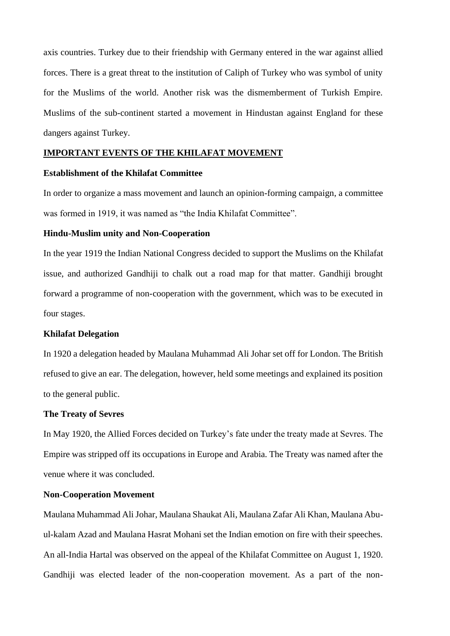axis countries. Turkey due to their friendship with Germany entered in the war against allied forces. There is a great threat to the institution of Caliph of Turkey who was symbol of unity for the Muslims of the world. Another risk was the dismemberment of Turkish Empire. Muslims of the sub-continent started a movement in Hindustan against England for these dangers against Turkey.

#### **IMPORTANT EVENTS OF THE KHILAFAT MOVEMENT**

#### **Establishment of the Khilafat Committee**

In order to organize a mass movement and launch an opinion-forming campaign, a committee was formed in 1919, it was named as "the India Khilafat Committee".

#### **Hindu-Muslim unity and Non-Cooperation**

In the year 1919 the Indian National Congress decided to support the Muslims on the Khilafat issue, and authorized Gandhiji to chalk out a road map for that matter. Gandhiji brought forward a programme of non-cooperation with the government, which was to be executed in four stages.

#### **Khilafat Delegation**

In 1920 a delegation headed by Maulana Muhammad Ali Johar set off for London. The British refused to give an ear. The delegation, however, held some meetings and explained its position to the general public.

## **The Treaty of Sevres**

In May 1920, the Allied Forces decided on Turkey's fate under the treaty made at Sevres. The Empire was stripped off its occupations in Europe and Arabia. The Treaty was named after the venue where it was concluded.

## **Non-Cooperation Movement**

Maulana Muhammad Ali Johar, Maulana Shaukat Ali, Maulana Zafar Ali Khan, Maulana Abuul-kalam Azad and Maulana Hasrat Mohani set the Indian emotion on fire with their speeches. An all-India Hartal was observed on the appeal of the Khilafat Committee on August 1, 1920. Gandhiji was elected leader of the non-cooperation movement. As a part of the non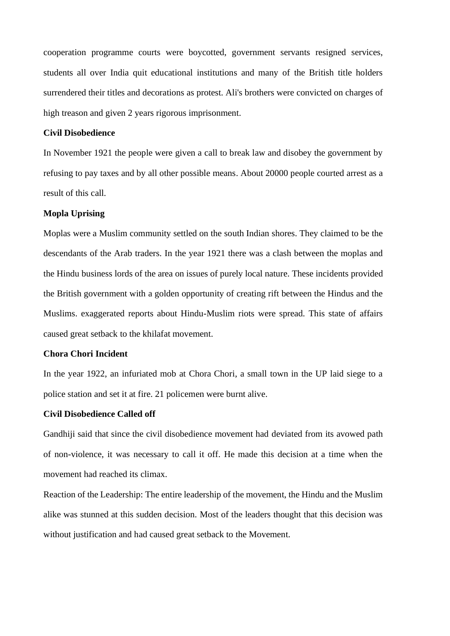cooperation programme courts were boycotted, government servants resigned services, students all over India quit educational institutions and many of the British title holders surrendered their titles and decorations as protest. Ali's brothers were convicted on charges of high treason and given 2 years rigorous imprisonment.

## **Civil Disobedience**

In November 1921 the people were given a call to break law and disobey the government by refusing to pay taxes and by all other possible means. About 20000 people courted arrest as a result of this call.

## **Mopla Uprising**

Moplas were a Muslim community settled on the south Indian shores. They claimed to be the descendants of the Arab traders. In the year 1921 there was a clash between the moplas and the Hindu business lords of the area on issues of purely local nature. These incidents provided the British government with a golden opportunity of creating rift between the Hindus and the Muslims. exaggerated reports about Hindu-Muslim riots were spread. This state of affairs caused great setback to the khilafat movement.

## **Chora Chori Incident**

In the year 1922, an infuriated mob at Chora Chori, a small town in the UP laid siege to a police station and set it at fire. 21 policemen were burnt alive.

## **Civil Disobedience Called off**

Gandhiji said that since the civil disobedience movement had deviated from its avowed path of non-violence, it was necessary to call it off. He made this decision at a time when the movement had reached its climax.

Reaction of the Leadership: The entire leadership of the movement, the Hindu and the Muslim alike was stunned at this sudden decision. Most of the leaders thought that this decision was without justification and had caused great setback to the Movement.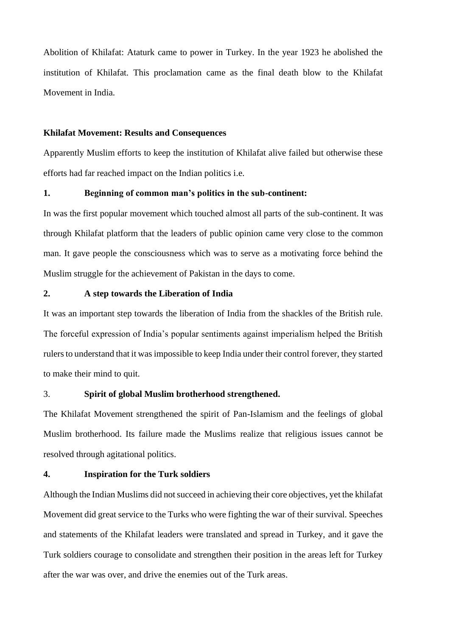Abolition of Khilafat: Ataturk came to power in Turkey. In the year 1923 he abolished the institution of Khilafat. This proclamation came as the final death blow to the Khilafat Movement in India.

#### **Khilafat Movement: Results and Consequences**

Apparently Muslim efforts to keep the institution of Khilafat alive failed but otherwise these efforts had far reached impact on the Indian politics i.e.

## **1. Beginning of common man's politics in the sub-continent:**

In was the first popular movement which touched almost all parts of the sub-continent. It was through Khilafat platform that the leaders of public opinion came very close to the common man. It gave people the consciousness which was to serve as a motivating force behind the Muslim struggle for the achievement of Pakistan in the days to come.

## **2. A step towards the Liberation of India**

It was an important step towards the liberation of India from the shackles of the British rule. The forceful expression of India's popular sentiments against imperialism helped the British rulers to understand that it was impossible to keep India under their control forever, they started to make their mind to quit.

## 3. **Spirit of global Muslim brotherhood strengthened.**

The Khilafat Movement strengthened the spirit of Pan-Islamism and the feelings of global Muslim brotherhood. Its failure made the Muslims realize that religious issues cannot be resolved through agitational politics.

#### **4. Inspiration for the Turk soldiers**

Although the Indian Muslims did not succeed in achieving their core objectives, yet the khilafat Movement did great service to the Turks who were fighting the war of their survival. Speeches and statements of the Khilafat leaders were translated and spread in Turkey, and it gave the Turk soldiers courage to consolidate and strengthen their position in the areas left for Turkey after the war was over, and drive the enemies out of the Turk areas.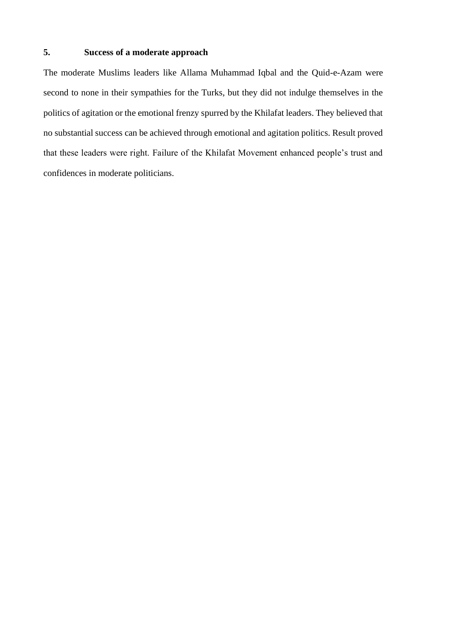## **5. Success of a moderate approach**

The moderate Muslims leaders like Allama Muhammad Iqbal and the Quid-e-Azam were second to none in their sympathies for the Turks, but they did not indulge themselves in the politics of agitation or the emotional frenzy spurred by the Khilafat leaders. They believed that no substantial success can be achieved through emotional and agitation politics. Result proved that these leaders were right. Failure of the Khilafat Movement enhanced people's trust and confidences in moderate politicians.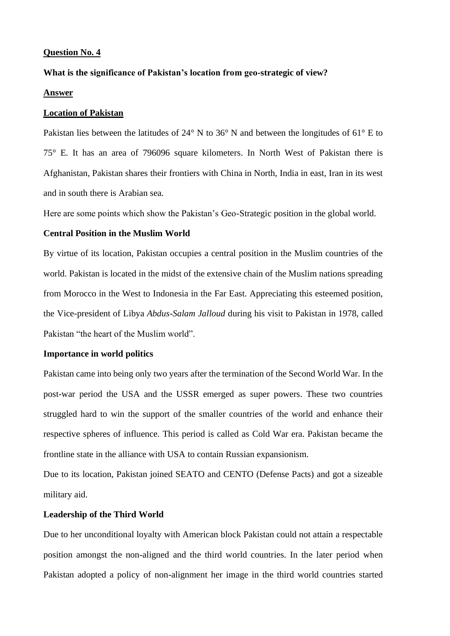## **Question No. 4**

## **What is the significance of Pakistan's location from geo-strategic of view?**

#### **Answer**

## **Location of Pakistan**

Pakistan lies between the latitudes of 24° N to 36° N and between the longitudes of 61° E to 75° E. It has an area of 796096 square kilometers. In North West of Pakistan there is Afghanistan, Pakistan shares their frontiers with China in North, India in east, Iran in its west and in south there is Arabian sea.

Here are some points which show the Pakistan's Geo-Strategic position in the global world.

## **Central Position in the Muslim World**

By virtue of its location, Pakistan occupies a central position in the Muslim countries of the world. Pakistan is located in the midst of the extensive chain of the Muslim nations spreading from Morocco in the West to Indonesia in the Far East. Appreciating this esteemed position, the Vice-president of Libya *Abdus-Salam Jalloud* during his visit to Pakistan in 1978, called Pakistan "the heart of the Muslim world".

## **Importance in world politics**

Pakistan came into being only two years after the termination of the Second World War. In the post-war period the USA and the USSR emerged as super powers. These two countries struggled hard to win the support of the smaller countries of the world and enhance their respective spheres of influence. This period is called as Cold War era. Pakistan became the frontline state in the alliance with USA to contain Russian expansionism.

Due to its location, Pakistan joined SEATO and CENTO (Defense Pacts) and got a sizeable military aid.

## **Leadership of the Third World**

Due to her unconditional loyalty with American block Pakistan could not attain a respectable position amongst the non-aligned and the third world countries. In the later period when Pakistan adopted a policy of non-alignment her image in the third world countries started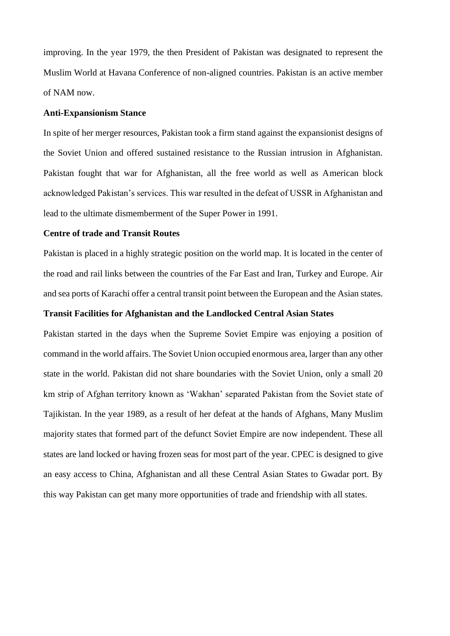improving. In the year 1979, the then President of Pakistan was designated to represent the Muslim World at Havana Conference of non-aligned countries. Pakistan is an active member of NAM now.

## **Anti-Expansionism Stance**

In spite of her merger resources, Pakistan took a firm stand against the expansionist designs of the Soviet Union and offered sustained resistance to the Russian intrusion in Afghanistan. Pakistan fought that war for Afghanistan, all the free world as well as American block acknowledged Pakistan's services. This war resulted in the defeat of USSR in Afghanistan and lead to the ultimate dismemberment of the Super Power in 1991.

#### **Centre of trade and Transit Routes**

Pakistan is placed in a highly strategic position on the world map. It is located in the center of the road and rail links between the countries of the Far East and Iran, Turkey and Europe. Air and sea ports of Karachi offer a central transit point between the European and the Asian states.

#### **Transit Facilities for Afghanistan and the Landlocked Central Asian States**

Pakistan started in the days when the Supreme Soviet Empire was enjoying a position of command in the world affairs. The Soviet Union occupied enormous area, larger than any other state in the world. Pakistan did not share boundaries with the Soviet Union, only a small 20 km strip of Afghan territory known as 'Wakhan' separated Pakistan from the Soviet state of Tajikistan. In the year 1989, as a result of her defeat at the hands of Afghans, Many Muslim majority states that formed part of the defunct Soviet Empire are now independent. These all states are land locked or having frozen seas for most part of the year. CPEC is designed to give an easy access to China, Afghanistan and all these Central Asian States to Gwadar port. By this way Pakistan can get many more opportunities of trade and friendship with all states.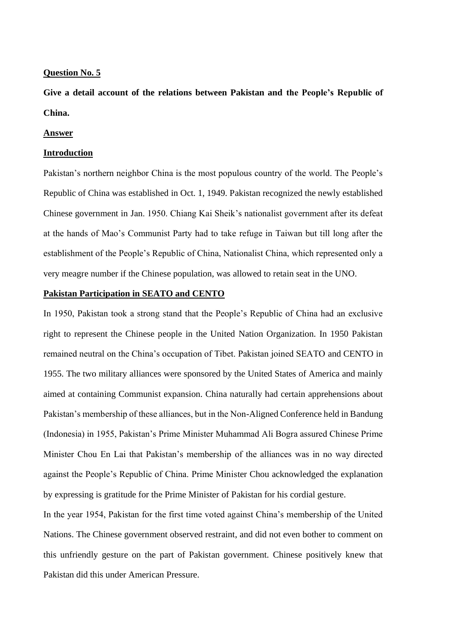#### **Question No. 5**

**Give a detail account of the relations between Pakistan and the People's Republic of China.**

#### **Answer**

#### **Introduction**

Pakistan's northern neighbor China is the most populous country of the world. The People's Republic of China was established in Oct. 1, 1949. Pakistan recognized the newly established Chinese government in Jan. 1950. Chiang Kai Sheik's nationalist government after its defeat at the hands of Mao's Communist Party had to take refuge in Taiwan but till long after the establishment of the People's Republic of China, Nationalist China, which represented only a very meagre number if the Chinese population, was allowed to retain seat in the UNO.

# **Pakistan Participation in SEATO and CENTO**

In 1950, Pakistan took a strong stand that the People's Republic of China had an exclusive right to represent the Chinese people in the United Nation Organization. In 1950 Pakistan remained neutral on the China's occupation of Tibet. Pakistan joined SEATO and CENTO in 1955. The two military alliances were sponsored by the United States of America and mainly aimed at containing Communist expansion. China naturally had certain apprehensions about Pakistan's membership of these alliances, but in the Non-Aligned Conference held in Bandung (Indonesia) in 1955, Pakistan's Prime Minister Muhammad Ali Bogra assured Chinese Prime Minister Chou En Lai that Pakistan's membership of the alliances was in no way directed against the People's Republic of China. Prime Minister Chou acknowledged the explanation by expressing is gratitude for the Prime Minister of Pakistan for his cordial gesture.

In the year 1954, Pakistan for the first time voted against China's membership of the United Nations. The Chinese government observed restraint, and did not even bother to comment on this unfriendly gesture on the part of Pakistan government. Chinese positively knew that Pakistan did this under American Pressure.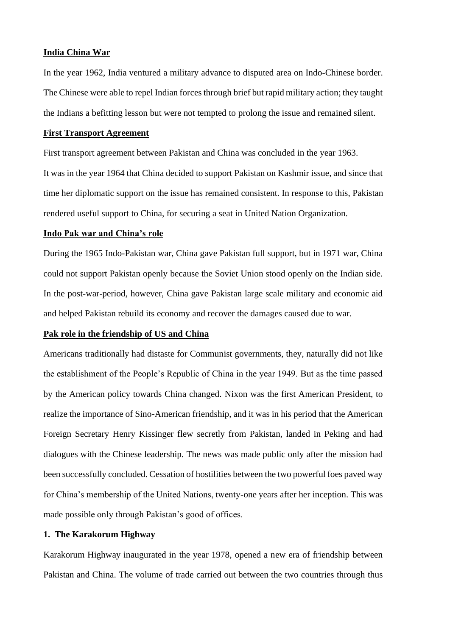#### **India China War**

In the year 1962, India ventured a military advance to disputed area on Indo-Chinese border. The Chinese were able to repel Indian forces through brief but rapid military action; they taught the Indians a befitting lesson but were not tempted to prolong the issue and remained silent.

#### **First Transport Agreement**

First transport agreement between Pakistan and China was concluded in the year 1963.

It was in the year 1964 that China decided to support Pakistan on Kashmir issue, and since that time her diplomatic support on the issue has remained consistent. In response to this, Pakistan rendered useful support to China, for securing a seat in United Nation Organization.

#### **Indo Pak war and China's role**

During the 1965 Indo-Pakistan war, China gave Pakistan full support, but in 1971 war, China could not support Pakistan openly because the Soviet Union stood openly on the Indian side. In the post-war-period, however, China gave Pakistan large scale military and economic aid and helped Pakistan rebuild its economy and recover the damages caused due to war.

## **Pak role in the friendship of US and China**

Americans traditionally had distaste for Communist governments, they, naturally did not like the establishment of the People's Republic of China in the year 1949. But as the time passed by the American policy towards China changed. Nixon was the first American President, to realize the importance of Sino-American friendship, and it was in his period that the American Foreign Secretary Henry Kissinger flew secretly from Pakistan, landed in Peking and had dialogues with the Chinese leadership. The news was made public only after the mission had been successfully concluded. Cessation of hostilities between the two powerful foes paved way for China's membership of the United Nations, twenty-one years after her inception. This was made possible only through Pakistan's good of offices.

## **1. The Karakorum Highway**

Karakorum Highway inaugurated in the year 1978, opened a new era of friendship between Pakistan and China. The volume of trade carried out between the two countries through thus